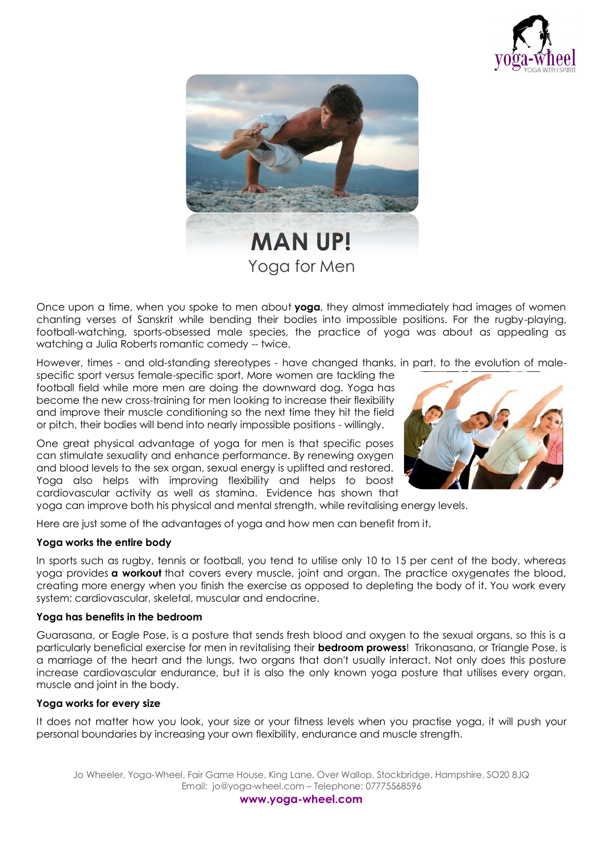



Once upon a time, when you spoke to men about **[yoga](http://www.canadianliving.com/health/fitness/yoga_or_pilates.php)**, they almost immediately had images of women chanting verses of Sanskrit while bending their bodies into impossible positions. For the rugby-playing, football-watching, sports-obsessed male species, the practice of yoga was about as appealing as watching a Julia Roberts romantic comedy -- twice.

However, times - and old-standing stereotypes - have changed thanks, in part, to the evolution of male-

specific sport versus female-specific sport. More women are tackling the football field while more men are doing the downward dog. Yoga has become the new cross-training for men looking to increase their flexibility and improve their muscle conditioning so the next time they hit the field or pitch, their bodies will bend into nearly impossible positions - willingly.

One great physical advantage of yoga for men is that specific poses can stimulate sexuality and enhance performance. By renewing oxygen and blood levels to the sex organ, sexual energy is uplifted and restored. Yoga also helps with improving flexibility and helps to boost cardiovascular activity as well as stamina. Evidence has shown that yoga can improve both his physical and mental strength, while revitalising energy levels.

Here are just some of the advantages of yoga and how men can benefit from it.

# **Yoga works the entire body**

In sports such as rugby, tennis or football, you tend to utilise only 10 to 15 per cent of the body, whereas yoga provides **a [workout](http://www.canadianliving.com/health/fitness/choosing_the_right_routine.php)** that covers every muscle, joint and organ. The practice oxygenates the blood, creating more energy when you finish the exercise as opposed to depleting the body of it. You work every system: cardiovascular, skeletal, muscular and endocrine.

### **Yoga has benefits in the bedroom**

Guarasana, or Eagle Pose, is a posture that sends fresh blood and oxygen to the sexual organs, so this is a particularly beneficial exercise for men in revitalising their **[bedroom](http://www.canadianliving.com/relationships/love/hes_just_not_that_into_sex.php) prowess**! Trikonasana, or Triangle Pose, is a marriage of the heart and the lungs, two organs that don't usually interact. Not only does this posture increase cardiovascular endurance, but it is also the only known yoga posture that utilises every organ, muscle and joint in the body.

### **Yoga works for every size**

It does not matter how you look, your size or your fitness levels when you practise yoga, it will push your personal boundaries by increasing your own flexibility, endurance and muscle strength.